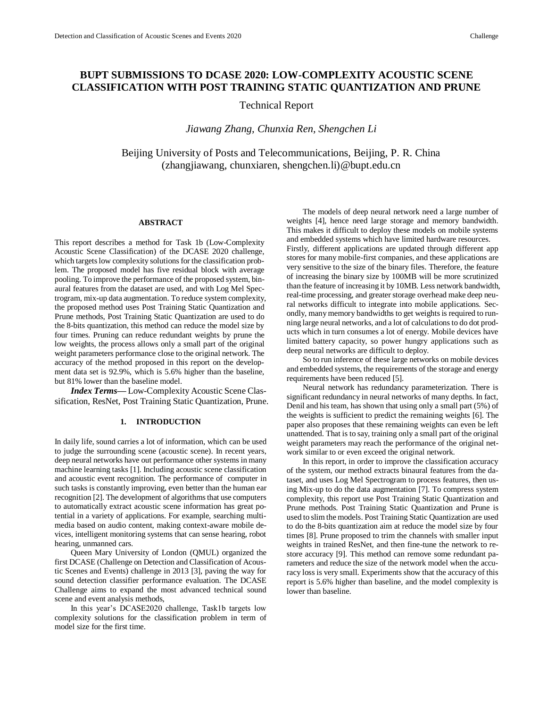# **BUPT SUBMISSIONS TO DCASE 2020: LOW-COMPLEXITY ACOUSTIC SCENE CLASSIFICATION WITH POST TRAINING STATIC QUANTIZATION AND PRUNE**

# Technical Report

# *Jiawang Zhang, Chunxia Ren, Shengchen Li*

Beijing University of Posts and Telecommunications, Beijing, P. R. China (zhangjiawang, chunxiaren, shengchen.li)@bupt.edu.cn

#### **ABSTRACT**

This report describes a method for Task 1b (Low-Complexity Acoustic Scene Classification) of the DCASE 2020 challenge, which targets low complexity solutions for the classification problem. The proposed model has five residual block with average pooling. To improve the performance of the proposed system, binaural features from the dataset are used, and with Log Mel Spectrogram, mix-up data augmentation. To reduce system complexity, the proposed method uses Post Training Static Quantization and Prune methods, Post Training Static Quantization are used to do the 8-bits quantization, this method can reduce the model size by four times. Pruning can reduce redundant weights by prune the low weights, the process allows only a small part of the original weight parameters performance close to the original network. The accuracy of the method proposed in this report on the development data set is 92.9%, which is 5.6% higher than the baseline, but 81% lower than the baseline model.

*Index Terms—* Low-Complexity Acoustic Scene Classification, ResNet, Post Training Static Quantization, Prune.

# **1. INTRODUCTION**

In daily life, sound carries a lot of information, which can be used to judge the surrounding scene (acoustic scene). In recent years, deep neural networks have out performance other systems in many machine learning tasks [\[1\].](#page-3-0) Including acoustic scene classification and acoustic event recognition. The performance of computer in such tasks is constantly improving, even better than the human ear recognition [\[2\].](#page-3-1) The development of algorithms that use computers to automatically extract acoustic scene information has great potential in a variety of applications. For example, searching multimedia based on audio content, making context-aware mobile devices, intelligent monitoring systems that can sense hearing, robot hearing, unmanned cars.

Queen Mary University of London (QMUL) organized the first DCASE (Challenge on Detection and Classification of Acoustic Scenes and Events) challenge in 2013 [\[3\],](#page-3-2) paving the way for sound detection classifier performance evaluation. The DCASE Challenge aims to expand the most advanced technical sound scene and event analysis methods,

In this year's DCASE2020 challenge, Task1b targets low complexity solutions for the classification problem in term of model size for the first time.

The models of deep neural network need a large number of weights [\[4\],](#page-3-3) hence need large storage and memory bandwidth. This makes it difficult to deploy these models on mobile systems and embedded systems which have limited hardware resources.

Firstly, different applications are updated through different app stores for many mobile-first companies, and these applications are very sensitive to the size of the binary files. Therefore, the feature of increasing the binary size by 100MB will be more scrutinized than the feature of increasing it by 10MB. Less network bandwidth, real-time processing, and greater storage overhead make deep neural networks difficult to integrate into mobile applications. Secondly, many memory bandwidths to get weights is required to running large neural networks, and a lot of calculations to do dot products which in turn consumes a lot of energy. Mobile devices have limited battery capacity, so power hungry applications such as deep neural networks are difficult to deploy.

So to run inference of these large networks on mobile devices and embedded systems, the requirements of the storage and energy requirements have been reduced [\[5\].](#page-3-4)

Neural network has redundancy parameterization. There is significant redundancy in neural networks of many depths. In fact, Denil and his team, has shown that using only a small part (5%) of the weights is sufficient to predict the remaining weights [\[6\].](#page-3-5) The paper also proposes that these remaining weights can even be left unattended. That is to say, training only a small part of the original weight parameters may reach the performance of the original network similar to or even exceed the original network.

In this report, in order to improve the classification accuracy of the system, our method extracts binaural features from the dataset, and uses Log Mel Spectrogram to process features, then using Mix-up to do the data augmentation [\[7\].](#page-3-6) To compress system complexity, this report use Post Training Static Quantization and Prune methods. Post Training Static Quantization and Prune is used to slim the models. Post Training Static Quantization are used to do the 8-bits quantization aim at reduce the model size by four times [\[8\].](#page-3-7) Prune proposed to trim the channels with smaller input weights in trained ResNet, and then fine-tune the network to restore accuracy [\[9\].](#page-3-8) This method can remove some redundant parameters and reduce the size of the network model when the accuracy loss is very small. Experiments show that the accuracy of this report is 5.6% higher than baseline, and the model complexity is lower than baseline.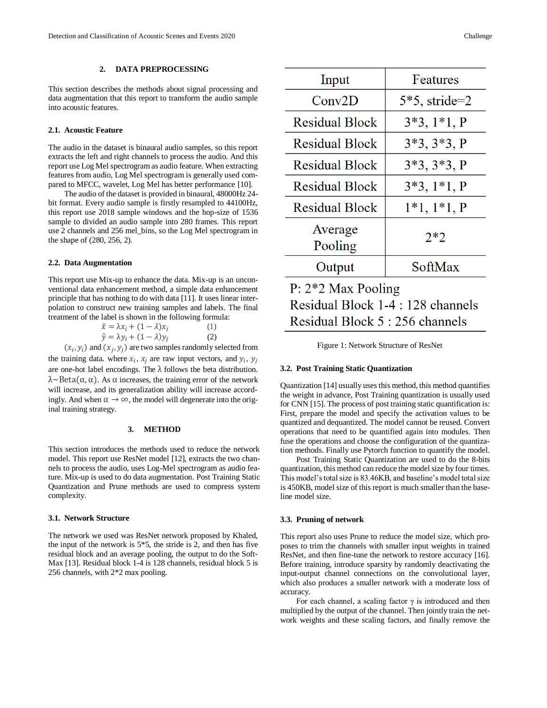# **2. DATA PREPROCESSING**

This section describes the methods about signal processing and data augmentation that this report to transform the audio sample into acoustic features.

#### **2.1. Acoustic Feature**

The audio in the dataset is binaural audio samples, so this report extracts the left and right channels to process the audio. And this report use Log Mel spectrogram as audio feature. When extracting features from audio, Log Mel spectrogram is generally used compared to MFCC, wavelet, Log Mel has better performance [\[10\].](#page-3-9)

The audio of the dataset is provided in binaural, 48000Hz 24 bit format. Every audio sample is firstly resampled to 44100Hz, this report use 2018 sample windows and the hop-size of 1536 sample to divided an audio sample into 280 frames. This report use 2 channels and 256 mel\_bins, so the Log Mel spectrogram in the shape of (280, 256, 2).

# **2.2. Data Augmentation**

This report use Mix-up to enhance the data. Mix-up is an unconventional data enhancement method, a simple data enhancement principle that has nothing to do with data [\[11\].](#page-3-10) It uses linear interpolation to construct new training samples and labels. The final treatment of the label is shown in the following formula:

| $\tilde{x} = \lambda x_i + (1 - \lambda)x_i$ | (1) |
|----------------------------------------------|-----|
| $\tilde{y} = \lambda y_i + (1 - \lambda)y_i$ | (2) |

 $(x_i, y_i)$  and  $(x_j, y_j)$  are two samples randomly selected from the training data. where  $x_i$ ,  $x_j$  are raw input vectors, and  $y_i$ ,  $y_j$ are one-hot label encodings. The  $\lambda$  follows the beta distribution.  $\lambda \sim \text{Beta}(\alpha, \alpha)$ . As  $\alpha$  increases, the training error of the network will increase, and its generalization ability will increase accordingly. And when  $\alpha \to \infty$ , the model will degenerate into the original training strategy.

### **3. METHOD**

This section introduces the methods used to reduce the network model. This report use ResNet model [\[12\],](#page-3-11) extracts the two channels to process the audio, uses Log-Mel spectrogram as audio feature. Mix-up is used to do data augmentation. Post Training Static Quantization and Prune methods are used to compress system complexity.

#### **3.1. Network Structure**

The network we used was ResNet network proposed by Khaled, the input of the network is  $5*5$ , the stride is 2, and then has five residual block and an average pooling, the output to do the Soft-Max [\[13\].](#page-3-12) Residual block 1-4 is 128 channels, residual block 5 is 256 channels, with 2\*2 max pooling.

| Input                             | Features         |  |
|-----------------------------------|------------------|--|
| Conv2D                            | $5*5$ , stride=2 |  |
| <b>Residual Block</b>             | $3*3, 1*1, P$    |  |
| <b>Residual Block</b>             | $3*3, 3*3, P$    |  |
| <b>Residual Block</b>             | $3*3, 3*3, P$    |  |
| <b>Residual Block</b>             | $3*3, 1*1, P$    |  |
| <b>Residual Block</b>             | $1*1, 1*1, P$    |  |
| Average<br>Pooling                | $2*2$            |  |
| Output                            | SoftMax          |  |
| $P: 2*2$ Max Pooling              |                  |  |
| Residual Block 1-4 : 128 channels |                  |  |
| Residual Block 5 : 256 channels   |                  |  |

Figure 1: Network Structure of ResNet

#### **3.2. Post Training Static Quantization**

Quantizatio[n \[14\]](#page-3-13) usually uses this method, this method quantifies the weight in advance, Post Training quantization is usually used for CNN [\[15\].](#page-3-14) The process of post training static quantification is: First, prepare the model and specify the activation values to be quantized and dequantized. The model cannot be reused. Convert operations that need to be quantified again into modules. Then fuse the operations and choose the configuration of the quantization methods. Finally use Pytorch function to quantify the model.

Post Training Static Quantization are used to do the 8-bits quantization, this method can reduce the model size by four times. This model's total size is 83.46KB, and baseline's model total size is 450KB, model size of this report is much smaller than the baseline model size.

#### **3.3. Pruning of network**

This report also uses Prune to reduce the model size, which proposes to trim the channels with smaller input weights in trained ResNet, and then fine-tune the network to restore accuracy [\[16\].](#page-3-15)  Before training, introduce sparsity by randomly deactivating the input-output channel connections on the convolutional layer, which also produces a smaller network with a moderate loss of accuracy.

For each channel, a scaling factor  $\gamma$  is introduced and then multiplied by the output of the channel. Then jointly train the network weights and these scaling factors, and finally remove the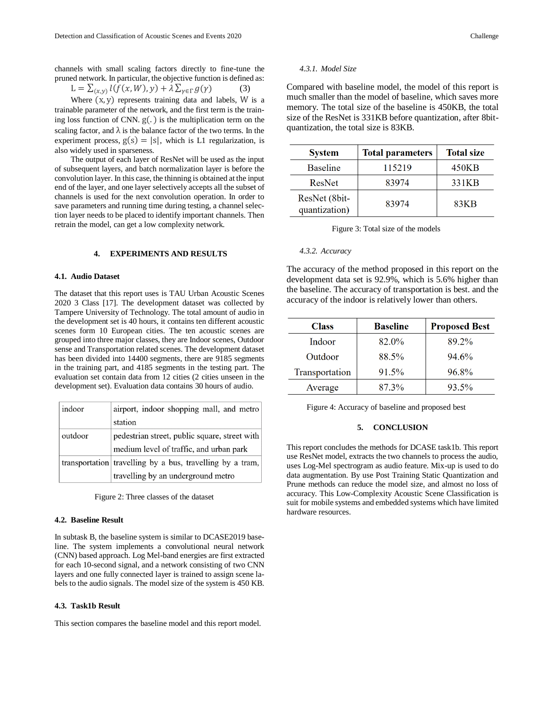channels with small scaling factors directly to fine-tune the pruned network. In particular, the objective function is defined as:

$$
L = \sum_{(x,y)} l(f(x,W), y) + \lambda \sum_{\gamma \in \Gamma} g(\gamma)
$$
 (3)

Where  $(x, y)$  represents training data and labels, W is a trainable parameter of the network, and the first term is the training loss function of CNN.  $g(.)$  is the multiplication term on the scaling factor, and  $\lambda$  is the balance factor of the two terms. In the experiment process,  $g(s) = |s|$ , which is L1 regularization, is also widely used in sparseness.

The output of each layer of ResNet will be used as the input of subsequent layers, and batch normalization layer is before the convolution layer. In this case, the thinning is obtained at the input end of the layer, and one layer selectively accepts all the subset of channels is used for the next convolution operation. In order to save parameters and running time during testing, a channel selection layer needs to be placed to identify important channels. Then retrain the model, can get a low complexity network.

#### **4. EXPERIMENTS AND RESULTS**

#### **4.1. Audio Dataset**

The dataset that this report uses is TAU Urban Acoustic Scenes 2020 3 Class [\[17\].](#page-3-16) The development dataset was collected by Tampere University of Technology. The total amount of audio in the development set is 40 hours, it contains ten different acoustic scenes form 10 European cities. The ten acoustic scenes are grouped into three major classes, they are Indoor scenes, Outdoor sense and Transportation related scenes. The development dataset has been divided into 14400 segments, there are 9185 segments in the training part, and 4185 segments in the testing part. The evaluation set contain data from 12 cities (2 cities unseen in the development set). Evaluation data contains 30 hours of audio.

| indoor  | airport, indoor shopping mall, and metro                  |
|---------|-----------------------------------------------------------|
|         | station                                                   |
| outdoor | pedestrian street, public square, street with             |
|         | medium level of traffic, and urban park                   |
|         | transportation travelling by a bus, travelling by a tram, |
|         | travelling by an underground metro                        |

Figure 2: Three classes of the dataset

#### **4.2. Baseline Result**

In subtask B, the baseline system is similar to DCASE2019 baseline. The system implements a convolutional neural network (CNN) based approach. Log Mel-band energies are first extracted for each 10-second signal, and a network consisting of two CNN layers and one fully connected layer is trained to assign scene labels to the audio signals. The model size of the system is 450 KB.

#### **4.3. Task1b Result**

This section compares the baseline model and this report model.

# *4.3.1. Model Size*

Compared with baseline model, the model of this report is much smaller than the model of baseline, which saves more memory. The total size of the baseline is 450KB, the total size of the ResNet is 331KB before quantization, after 8bitquantization, the total size is 83KB.

| <b>System</b>                  | <b>Total parameters</b> | <b>Total size</b> |
|--------------------------------|-------------------------|-------------------|
| <b>Baseline</b>                | 115219                  | 450KB             |
| ResNet                         | 83974                   | 331KB             |
| ResNet (8bit-<br>quantization) | 83974                   | 83KB              |

#### *4.3.2. Accuracy*

The accuracy of the method proposed in this report on the development data set is 92.9%, which is 5.6% higher than the baseline. The accuracy of transportation is best. and the accuracy of the indoor is relatively lower than others.

| <b>Class</b>   | <b>Baseline</b> | <b>Proposed Best</b> |
|----------------|-----------------|----------------------|
| Indoor         | 82.0%           | 89.2%                |
| Outdoor        | 88.5%           | 94.6%                |
| Transportation | 91.5%           | 96.8%                |
| Average        | 87.3%           | 93.5%                |

Figure 4: Accuracy of baseline and proposed best

# **5. CONCLUSION**

This report concludes the methods for DCASE task1b. This report use ResNet model, extracts the two channels to process the audio, uses Log-Mel spectrogram as audio feature. Mix-up is used to do data augmentation. By use Post Training Static Quantization and Prune methods can reduce the model size, and almost no loss of accuracy. This Low-Complexity Acoustic Scene Classification is suit for mobile systems and embedded systems which have limited hardware resources.